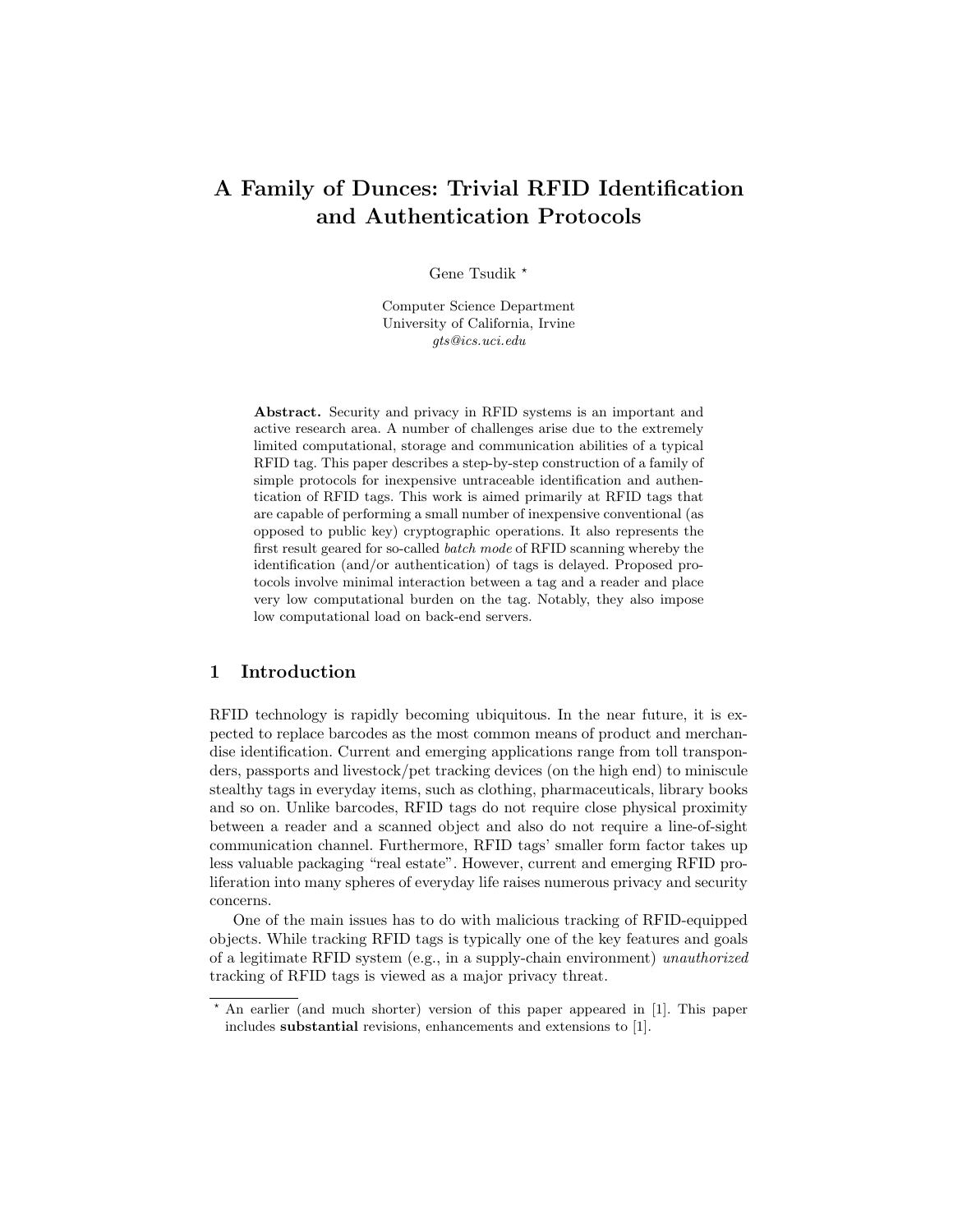# A Family of Dunces: Trivial RFID Identification and Authentication Protocols

Gene Tsudik $^{\star}$ 

Computer Science Department University of California, Irvine gts@ics.uci.edu

Abstract. Security and privacy in RFID systems is an important and active research area. A number of challenges arise due to the extremely limited computational, storage and communication abilities of a typical RFID tag. This paper describes a step-by-step construction of a family of simple protocols for inexpensive untraceable identification and authentication of RFID tags. This work is aimed primarily at RFID tags that are capable of performing a small number of inexpensive conventional (as opposed to public key) cryptographic operations. It also represents the first result geared for so-called batch mode of RFID scanning whereby the identification (and/or authentication) of tags is delayed. Proposed protocols involve minimal interaction between a tag and a reader and place very low computational burden on the tag. Notably, they also impose low computational load on back-end servers.

# 1 Introduction

RFID technology is rapidly becoming ubiquitous. In the near future, it is expected to replace barcodes as the most common means of product and merchandise identification. Current and emerging applications range from toll transponders, passports and livestock/pet tracking devices (on the high end) to miniscule stealthy tags in everyday items, such as clothing, pharmaceuticals, library books and so on. Unlike barcodes, RFID tags do not require close physical proximity between a reader and a scanned object and also do not require a line-of-sight communication channel. Furthermore, RFID tags' smaller form factor takes up less valuable packaging "real estate". However, current and emerging RFID proliferation into many spheres of everyday life raises numerous privacy and security concerns.

One of the main issues has to do with malicious tracking of RFID-equipped objects. While tracking RFID tags is typically one of the key features and goals of a legitimate RFID system (e.g., in a supply-chain environment) unauthorized tracking of RFID tags is viewed as a major privacy threat.

<sup>?</sup> An earlier (and much shorter) version of this paper appeared in [1]. This paper includes substantial revisions, enhancements and extensions to [1].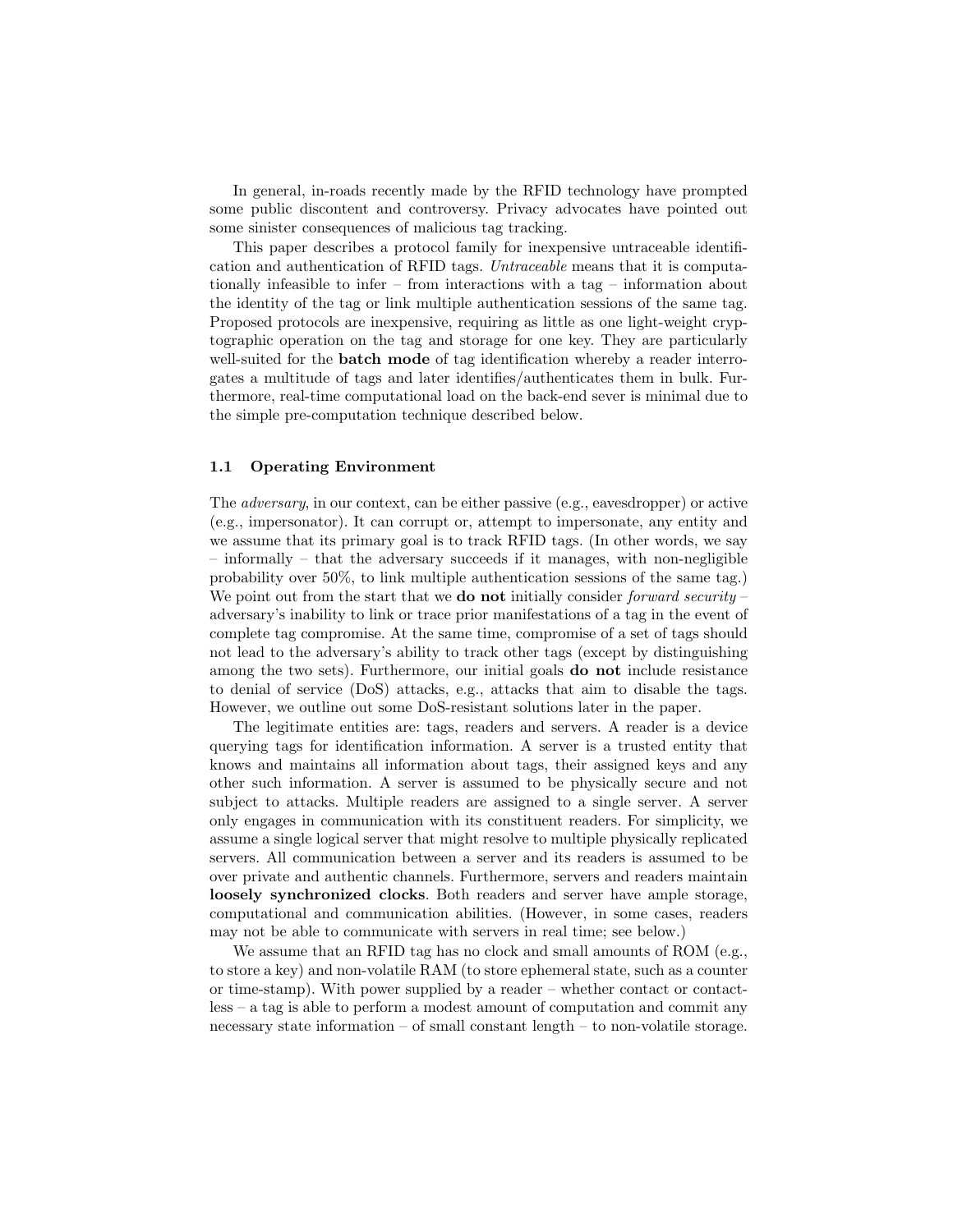In general, in-roads recently made by the RFID technology have prompted some public discontent and controversy. Privacy advocates have pointed out some sinister consequences of malicious tag tracking.

This paper describes a protocol family for inexpensive untraceable identification and authentication of RFID tags. Untraceable means that it is computationally infeasible to infer – from interactions with a tag – information about the identity of the tag or link multiple authentication sessions of the same tag. Proposed protocols are inexpensive, requiring as little as one light-weight cryptographic operation on the tag and storage for one key. They are particularly well-suited for the **batch mode** of tag identification whereby a reader interrogates a multitude of tags and later identifies/authenticates them in bulk. Furthermore, real-time computational load on the back-end sever is minimal due to the simple pre-computation technique described below.

#### 1.1 Operating Environment

The adversary, in our context, can be either passive (e.g., eavesdropper) or active (e.g., impersonator). It can corrupt or, attempt to impersonate, any entity and we assume that its primary goal is to track RFID tags. (In other words, we say  $-$  informally  $-$  that the adversary succeeds if it manages, with non-negligible probability over 50%, to link multiple authentication sessions of the same tag.) We point out from the start that we **do not** initially consider forward security – adversary's inability to link or trace prior manifestations of a tag in the event of complete tag compromise. At the same time, compromise of a set of tags should not lead to the adversary's ability to track other tags (except by distinguishing among the two sets). Furthermore, our initial goals do not include resistance to denial of service (DoS) attacks, e.g., attacks that aim to disable the tags. However, we outline out some DoS-resistant solutions later in the paper.

The legitimate entities are: tags, readers and servers. A reader is a device querying tags for identification information. A server is a trusted entity that knows and maintains all information about tags, their assigned keys and any other such information. A server is assumed to be physically secure and not subject to attacks. Multiple readers are assigned to a single server. A server only engages in communication with its constituent readers. For simplicity, we assume a single logical server that might resolve to multiple physically replicated servers. All communication between a server and its readers is assumed to be over private and authentic channels. Furthermore, servers and readers maintain loosely synchronized clocks. Both readers and server have ample storage, computational and communication abilities. (However, in some cases, readers may not be able to communicate with servers in real time; see below.)

We assume that an RFID tag has no clock and small amounts of ROM (e.g., to store a key) and non-volatile RAM (to store ephemeral state, such as a counter or time-stamp). With power supplied by a reader – whether contact or contactless – a tag is able to perform a modest amount of computation and commit any necessary state information – of small constant length – to non-volatile storage.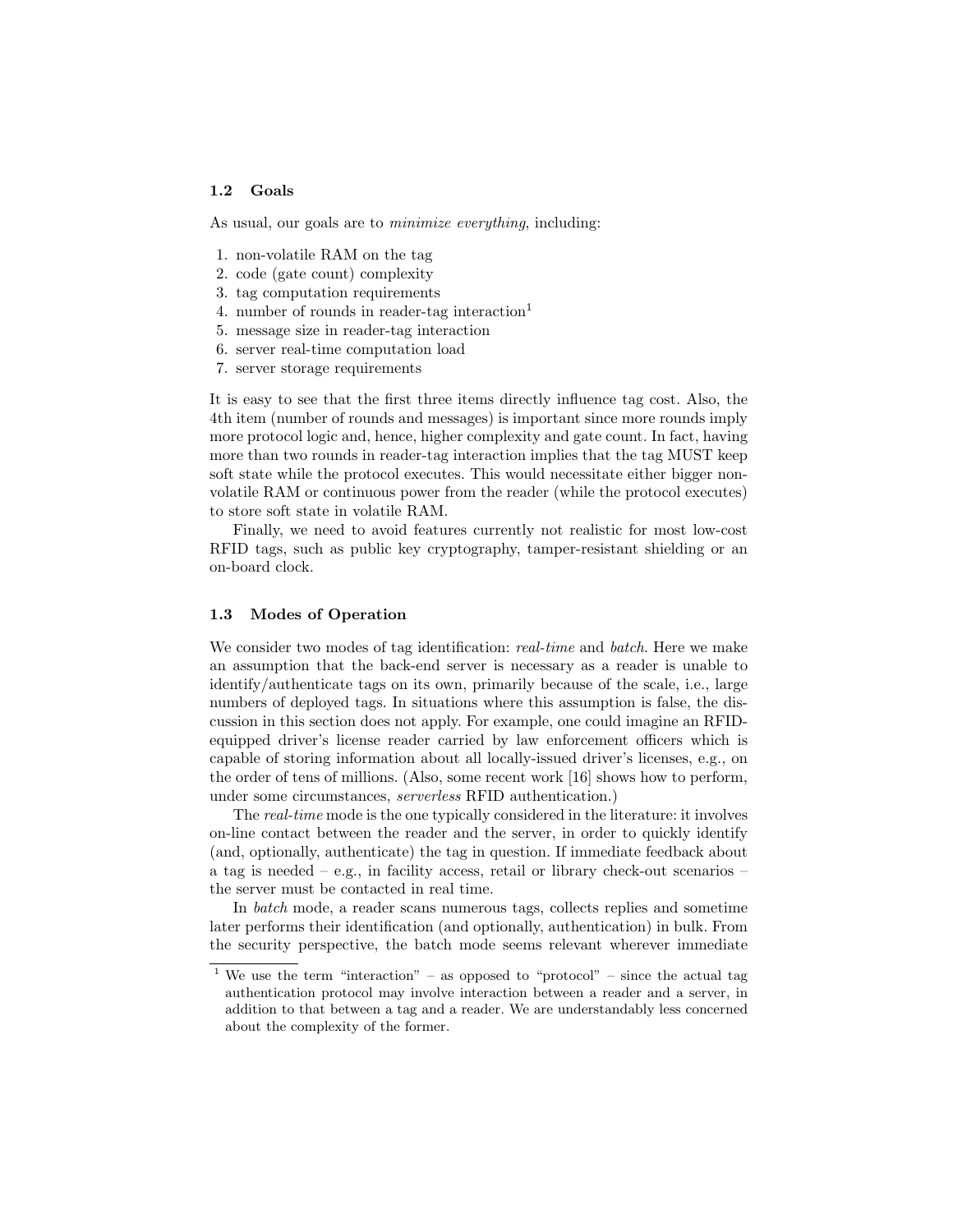# 1.2 Goals

As usual, our goals are to minimize everything, including:

- 1. non-volatile RAM on the tag
- 2. code (gate count) complexity
- 3. tag computation requirements
- 4. number of rounds in reader-tag interaction<sup>1</sup>
- 5. message size in reader-tag interaction
- 6. server real-time computation load
- 7. server storage requirements

It is easy to see that the first three items directly influence tag cost. Also, the 4th item (number of rounds and messages) is important since more rounds imply more protocol logic and, hence, higher complexity and gate count. In fact, having more than two rounds in reader-tag interaction implies that the tag MUST keep soft state while the protocol executes. This would necessitate either bigger nonvolatile RAM or continuous power from the reader (while the protocol executes) to store soft state in volatile RAM.

Finally, we need to avoid features currently not realistic for most low-cost RFID tags, such as public key cryptography, tamper-resistant shielding or an on-board clock.

## 1.3 Modes of Operation

We consider two modes of tag identification: real-time and batch. Here we make an assumption that the back-end server is necessary as a reader is unable to identify/authenticate tags on its own, primarily because of the scale, i.e., large numbers of deployed tags. In situations where this assumption is false, the discussion in this section does not apply. For example, one could imagine an RFIDequipped driver's license reader carried by law enforcement officers which is capable of storing information about all locally-issued driver's licenses, e.g., on the order of tens of millions. (Also, some recent work [16] shows how to perform, under some circumstances, serverless RFID authentication.)

The real-time mode is the one typically considered in the literature: it involves on-line contact between the reader and the server, in order to quickly identify (and, optionally, authenticate) the tag in question. If immediate feedback about a tag is needed – e.g., in facility access, retail or library check-out scenarios – the server must be contacted in real time.

In batch mode, a reader scans numerous tags, collects replies and sometime later performs their identification (and optionally, authentication) in bulk. From the security perspective, the batch mode seems relevant wherever immediate

<sup>&</sup>lt;sup>1</sup> We use the term "interaction" – as opposed to "protocol" – since the actual tag authentication protocol may involve interaction between a reader and a server, in addition to that between a tag and a reader. We are understandably less concerned about the complexity of the former.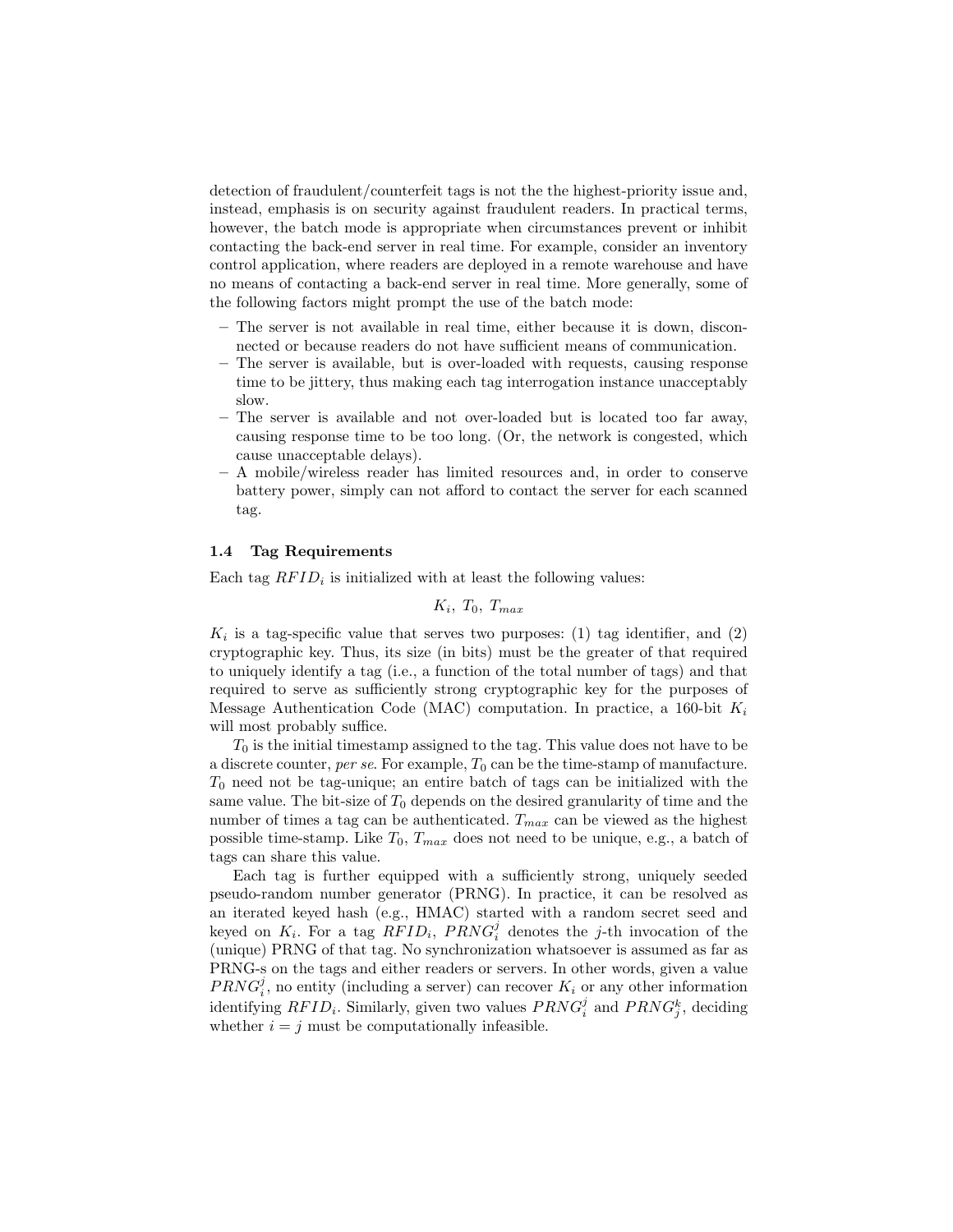detection of fraudulent/counterfeit tags is not the the highest-priority issue and, instead, emphasis is on security against fraudulent readers. In practical terms, however, the batch mode is appropriate when circumstances prevent or inhibit contacting the back-end server in real time. For example, consider an inventory control application, where readers are deployed in a remote warehouse and have no means of contacting a back-end server in real time. More generally, some of the following factors might prompt the use of the batch mode:

- The server is not available in real time, either because it is down, disconnected or because readers do not have sufficient means of communication.
- The server is available, but is over-loaded with requests, causing response time to be jittery, thus making each tag interrogation instance unacceptably slow.
- The server is available and not over-loaded but is located too far away, causing response time to be too long. (Or, the network is congested, which cause unacceptable delays).
- A mobile/wireless reader has limited resources and, in order to conserve battery power, simply can not afford to contact the server for each scanned tag.

#### 1.4 Tag Requirements

Each tag  $RFID_i$  is initialized with at least the following values:

 $K_i$ ,  $T_0$ ,  $T_{max}$ 

 $K_i$  is a tag-specific value that serves two purposes: (1) tag identifier, and (2) cryptographic key. Thus, its size (in bits) must be the greater of that required to uniquely identify a tag (i.e., a function of the total number of tags) and that required to serve as sufficiently strong cryptographic key for the purposes of Message Authentication Code (MAC) computation. In practice, a 160-bit  $K_i$ will most probably suffice.

 $T_0$  is the initial timestamp assigned to the tag. This value does not have to be a discrete counter,  $per se$ . For example,  $T_0$  can be the time-stamp of manufacture.  $T_0$  need not be tag-unique; an entire batch of tags can be initialized with the same value. The bit-size of  $T_0$  depends on the desired granularity of time and the number of times a tag can be authenticated.  $T_{max}$  can be viewed as the highest possible time-stamp. Like  $T_0$ ,  $T_{max}$  does not need to be unique, e.g., a batch of tags can share this value.

Each tag is further equipped with a sufficiently strong, uniquely seeded pseudo-random number generator (PRNG). In practice, it can be resolved as an iterated keyed hash (e.g., HMAC) started with a random secret seed and keyed on  $K_i$ . For a tag  $RFID_i$ ,  $PRNG_i^j$  denotes the j-th invocation of the (unique) PRNG of that tag. No synchronization whatsoever is assumed as far as PRNG-s on the tags and either readers or servers. In other words, given a value  $PRNG_i^j$ , no entity (including a server) can recover  $K_i$  or any other information identifying  $RFID_i$ . Similarly, given two values  $PRNG_i^j$  and  $PRNG_j^k$ , deciding whether  $i = j$  must be computationally infeasible.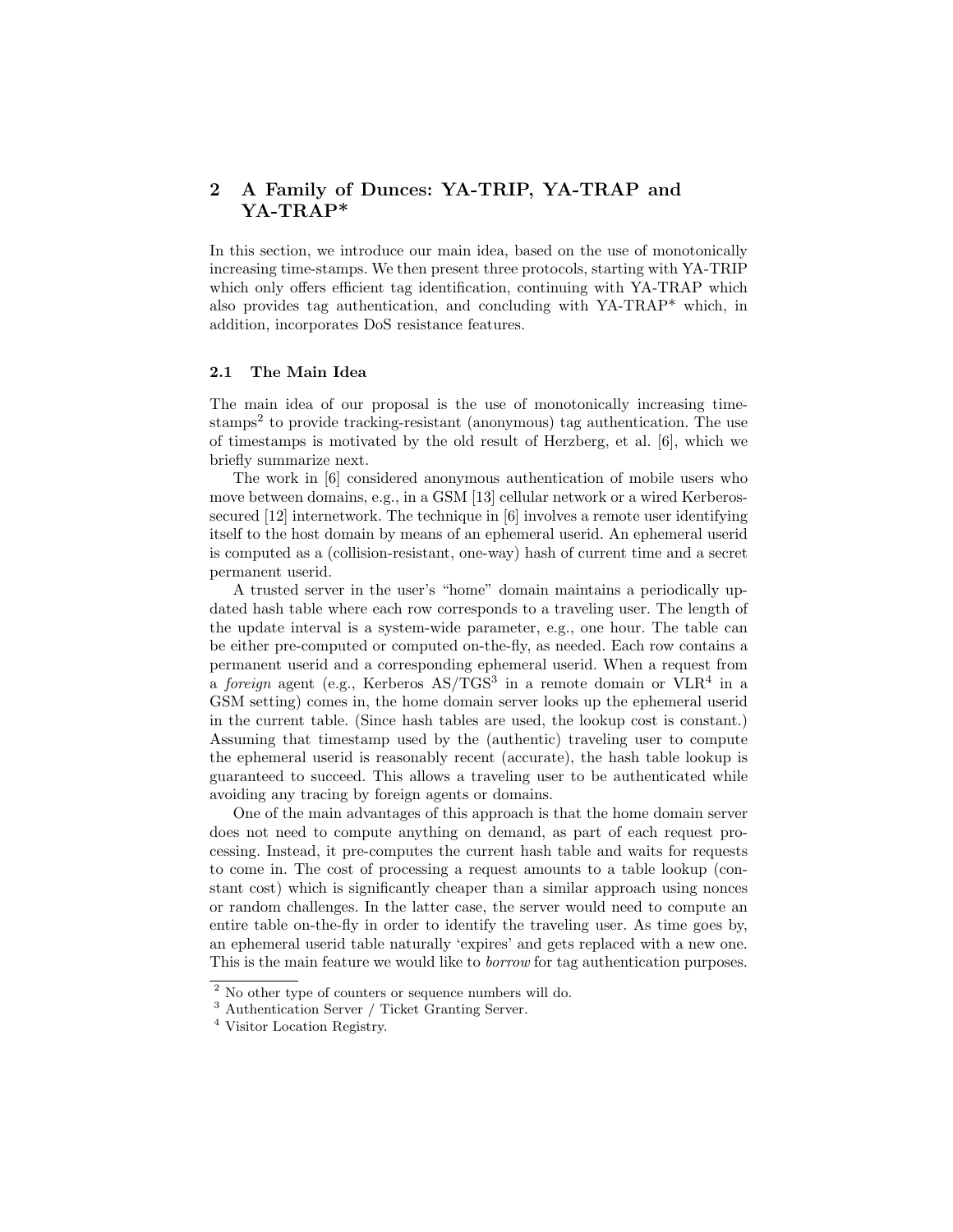# 2 A Family of Dunces: YA-TRIP, YA-TRAP and YA-TRAP\*

In this section, we introduce our main idea, based on the use of monotonically increasing time-stamps. We then present three protocols, starting with YA-TRIP which only offers efficient tag identification, continuing with YA-TRAP which also provides tag authentication, and concluding with YA-TRAP\* which, in addition, incorporates DoS resistance features.

#### 2.1 The Main Idea

The main idea of our proposal is the use of monotonically increasing timestamps<sup>2</sup> to provide tracking-resistant (anonymous) tag authentication. The use of timestamps is motivated by the old result of Herzberg, et al. [6], which we briefly summarize next.

The work in [6] considered anonymous authentication of mobile users who move between domains, e.g., in a GSM [13] cellular network or a wired Kerberossecured [12] internetwork. The technique in [6] involves a remote user identifying itself to the host domain by means of an ephemeral userid. An ephemeral userid is computed as a (collision-resistant, one-way) hash of current time and a secret permanent userid.

A trusted server in the user's "home" domain maintains a periodically updated hash table where each row corresponds to a traveling user. The length of the update interval is a system-wide parameter, e.g., one hour. The table can be either pre-computed or computed on-the-fly, as needed. Each row contains a permanent userid and a corresponding ephemeral userid. When a request from a *foreign* agent (e.g., Kerberos  $AS/TGS<sup>3</sup>$  in a remote domain or  $VLR<sup>4</sup>$  in a GSM setting) comes in, the home domain server looks up the ephemeral userid in the current table. (Since hash tables are used, the lookup cost is constant.) Assuming that timestamp used by the (authentic) traveling user to compute the ephemeral userid is reasonably recent (accurate), the hash table lookup is guaranteed to succeed. This allows a traveling user to be authenticated while avoiding any tracing by foreign agents or domains.

One of the main advantages of this approach is that the home domain server does not need to compute anything on demand, as part of each request processing. Instead, it pre-computes the current hash table and waits for requests to come in. The cost of processing a request amounts to a table lookup (constant cost) which is significantly cheaper than a similar approach using nonces or random challenges. In the latter case, the server would need to compute an entire table on-the-fly in order to identify the traveling user. As time goes by, an ephemeral userid table naturally 'expires' and gets replaced with a new one. This is the main feature we would like to *borrow* for tag authentication purposes.

<sup>2</sup> No other type of counters or sequence numbers will do.

<sup>3</sup> Authentication Server / Ticket Granting Server.

<sup>4</sup> Visitor Location Registry.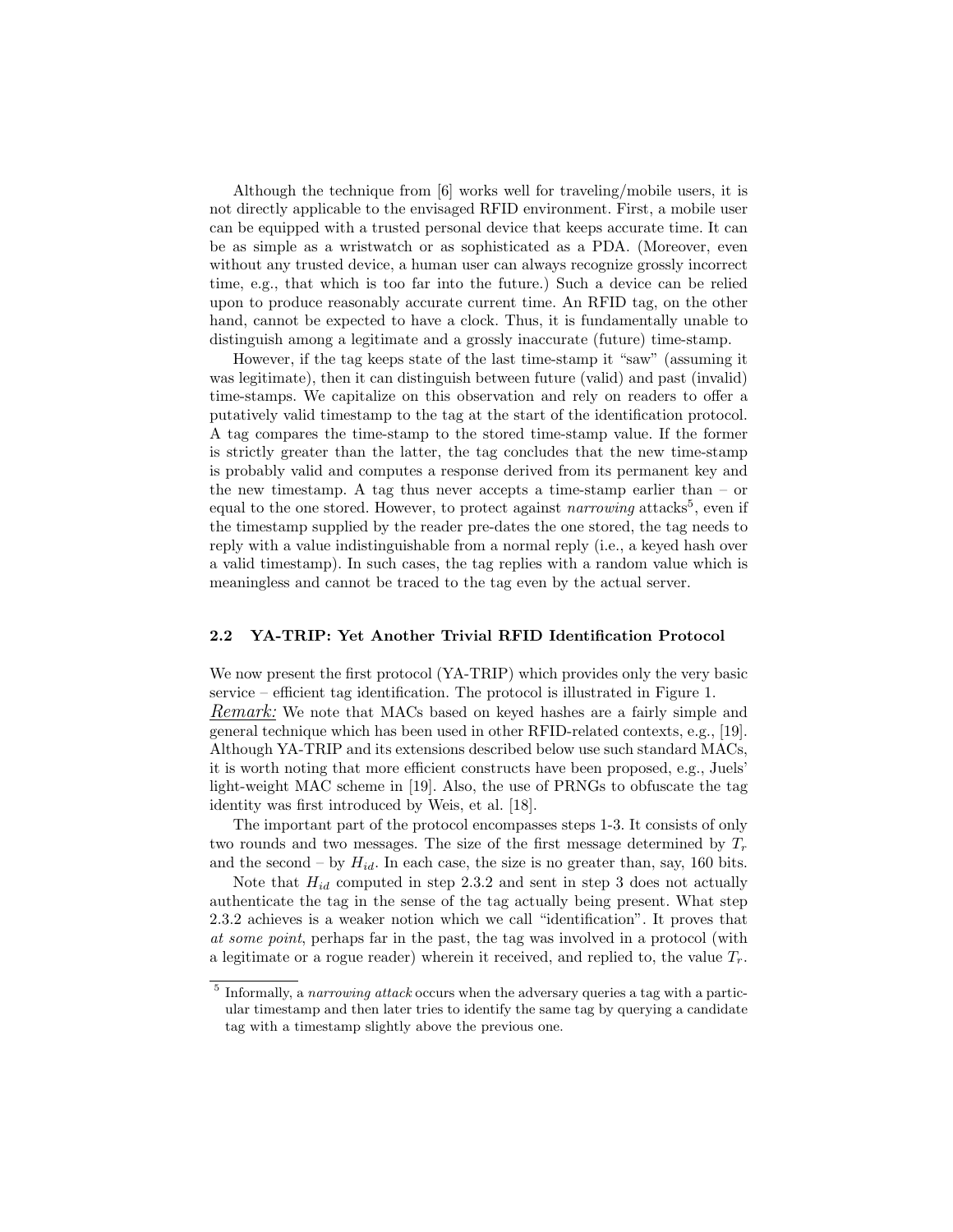Although the technique from [6] works well for traveling/mobile users, it is not directly applicable to the envisaged RFID environment. First, a mobile user can be equipped with a trusted personal device that keeps accurate time. It can be as simple as a wristwatch or as sophisticated as a PDA. (Moreover, even without any trusted device, a human user can always recognize grossly incorrect time, e.g., that which is too far into the future.) Such a device can be relied upon to produce reasonably accurate current time. An RFID tag, on the other hand, cannot be expected to have a clock. Thus, it is fundamentally unable to distinguish among a legitimate and a grossly inaccurate (future) time-stamp.

However, if the tag keeps state of the last time-stamp it "saw" (assuming it was legitimate), then it can distinguish between future (valid) and past (invalid) time-stamps. We capitalize on this observation and rely on readers to offer a putatively valid timestamp to the tag at the start of the identification protocol. A tag compares the time-stamp to the stored time-stamp value. If the former is strictly greater than the latter, the tag concludes that the new time-stamp is probably valid and computes a response derived from its permanent key and the new timestamp. A tag thus never accepts a time-stamp earlier than – or equal to the one stored. However, to protect against *narrowing* attacks<sup>5</sup>, even if the timestamp supplied by the reader pre-dates the one stored, the tag needs to reply with a value indistinguishable from a normal reply (i.e., a keyed hash over a valid timestamp). In such cases, the tag replies with a random value which is meaningless and cannot be traced to the tag even by the actual server.

#### 2.2 YA-TRIP: Yet Another Trivial RFID Identification Protocol

We now present the first protocol (YA-TRIP) which provides only the very basic service – efficient tag identification. The protocol is illustrated in Figure 1. Remark: We note that MACs based on keyed hashes are a fairly simple and general technique which has been used in other RFID-related contexts, e.g., [19]. Although YA-TRIP and its extensions described below use such standard MACs, it is worth noting that more efficient constructs have been proposed, e.g., Juels' light-weight MAC scheme in [19]. Also, the use of PRNGs to obfuscate the tag identity was first introduced by Weis, et al. [18].

The important part of the protocol encompasses steps 1-3. It consists of only two rounds and two messages. The size of the first message determined by  $T_r$ and the second – by  $H_{id}$ . In each case, the size is no greater than, say, 160 bits.

Note that  $H_{id}$  computed in step 2.3.2 and sent in step 3 does not actually authenticate the tag in the sense of the tag actually being present. What step 2.3.2 achieves is a weaker notion which we call "identification". It proves that at some point, perhaps far in the past, the tag was involved in a protocol (with a legitimate or a rogue reader) wherein it received, and replied to, the value  $T_r$ .

 $<sup>5</sup>$  Informally, a *narrowing attack* occurs when the adversary queries a tag with a partic-</sup> ular timestamp and then later tries to identify the same tag by querying a candidate tag with a timestamp slightly above the previous one.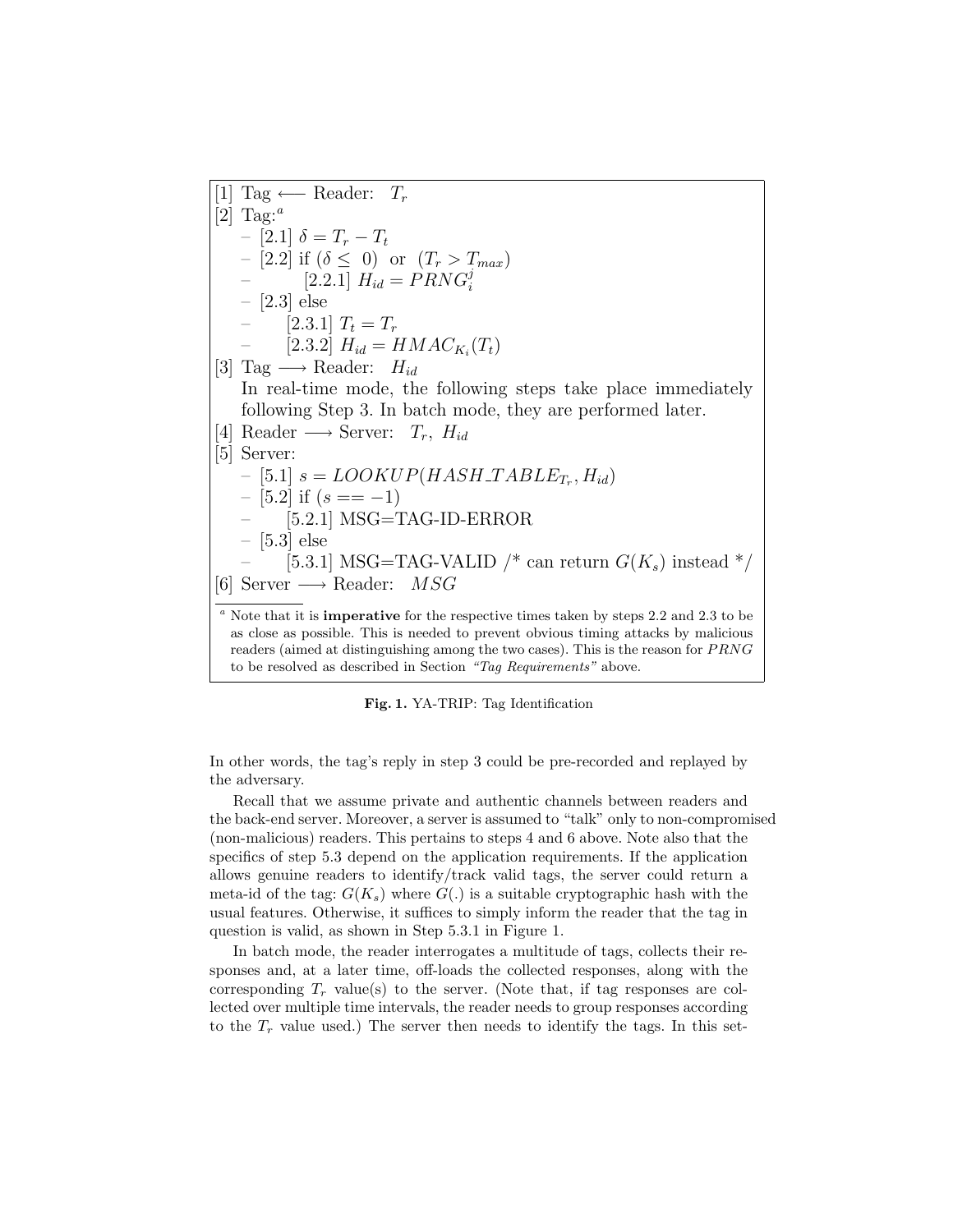[1] Tag ← Reader:  $T_r$ [2] Tag: $^a$ –  $[2.1]$   $\delta = T_r - T_t$  $-[2.2]$  if  $(\delta \leq 0)$  or  $(T_r > T_{max})$  $-$  [2.2.1]  $H_{id} = PRNG_i^j$ – [2.3] else [2.3.1]  $T_t = T_r$  $-$  [2.3.2]  $H_{id} = HMAC_{K_i}(T_t)$ [3] Tag  $\longrightarrow$  Reader:  $H_{id}$ In real-time mode, the following steps take place immediately following Step 3. In batch mode, they are performed later. [4] Reader  $\longrightarrow$  Server:  $T_r$ ,  $H_{id}$ [5] Server:  $-[5.1]$   $s = LOGKUP(HASH\_TABLE_{T_r}, H_{id})$  $-$  [5.2] if  $(s == -1)$  $-$  [5.2.1] MSG=TAG-ID-ERROR – [5.3] else [5.3.1] MSG=TAG-VALID /\* can return  $G(K_s)$  instead \*/  $[6]$  Server  $\longrightarrow$  Reader:  $MSG$  $a$  Note that it is **imperative** for the respective times taken by steps 2.2 and 2.3 to be as close as possible. This is needed to prevent obvious timing attacks by malicious readers (aimed at distinguishing among the two cases). This is the reason for  $PRNG$ to be resolved as described in Section "Tag Requirements" above.

Fig. 1. YA-TRIP: Tag Identification

In other words, the tag's reply in step 3 could be pre-recorded and replayed by the adversary.

Recall that we assume private and authentic channels between readers and the back-end server. Moreover, a server is assumed to "talk" only to non-compromised (non-malicious) readers. This pertains to steps 4 and 6 above. Note also that the specifics of step 5.3 depend on the application requirements. If the application allows genuine readers to identify/track valid tags, the server could return a meta-id of the tag:  $G(K_s)$  where  $G(.)$  is a suitable cryptographic hash with the usual features. Otherwise, it suffices to simply inform the reader that the tag in question is valid, as shown in Step 5.3.1 in Figure 1.

In batch mode, the reader interrogates a multitude of tags, collects their responses and, at a later time, off-loads the collected responses, along with the corresponding  $T_r$  value(s) to the server. (Note that, if tag responses are collected over multiple time intervals, the reader needs to group responses according to the  $T_r$  value used.) The server then needs to identify the tags. In this set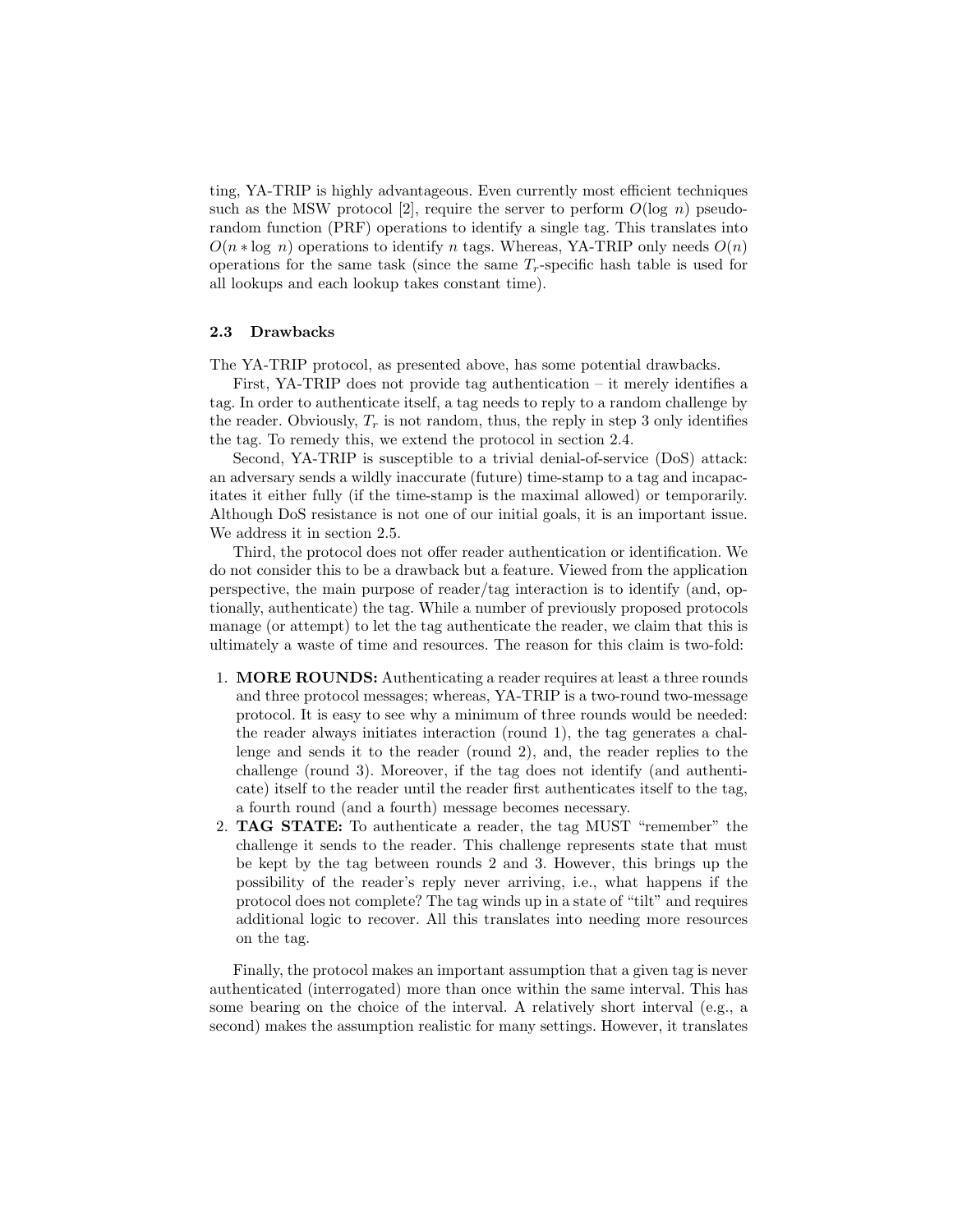ting, YA-TRIP is highly advantageous. Even currently most efficient techniques such as the MSW protocol [2], require the server to perform  $O(\log n)$  pseudorandom function (PRF) operations to identify a single tag. This translates into  $O(n * \log n)$  operations to identify n tags. Whereas, YA-TRIP only needs  $O(n)$ operations for the same task (since the same  $T_r$ -specific hash table is used for all lookups and each lookup takes constant time).

#### 2.3 Drawbacks

The YA-TRIP protocol, as presented above, has some potential drawbacks.

First, YA-TRIP does not provide tag authentication – it merely identifies a tag. In order to authenticate itself, a tag needs to reply to a random challenge by the reader. Obviously,  $T_r$  is not random, thus, the reply in step 3 only identifies the tag. To remedy this, we extend the protocol in section 2.4.

Second, YA-TRIP is susceptible to a trivial denial-of-service (DoS) attack: an adversary sends a wildly inaccurate (future) time-stamp to a tag and incapacitates it either fully (if the time-stamp is the maximal allowed) or temporarily. Although DoS resistance is not one of our initial goals, it is an important issue. We address it in section 2.5.

Third, the protocol does not offer reader authentication or identification. We do not consider this to be a drawback but a feature. Viewed from the application perspective, the main purpose of reader/tag interaction is to identify (and, optionally, authenticate) the tag. While a number of previously proposed protocols manage (or attempt) to let the tag authenticate the reader, we claim that this is ultimately a waste of time and resources. The reason for this claim is two-fold:

- 1. MORE ROUNDS: Authenticating a reader requires at least a three rounds and three protocol messages; whereas, YA-TRIP is a two-round two-message protocol. It is easy to see why a minimum of three rounds would be needed: the reader always initiates interaction (round 1), the tag generates a challenge and sends it to the reader (round 2), and, the reader replies to the challenge (round 3). Moreover, if the tag does not identify (and authenticate) itself to the reader until the reader first authenticates itself to the tag, a fourth round (and a fourth) message becomes necessary.
- 2. TAG STATE: To authenticate a reader, the tag MUST "remember" the challenge it sends to the reader. This challenge represents state that must be kept by the tag between rounds 2 and 3. However, this brings up the possibility of the reader's reply never arriving, i.e., what happens if the protocol does not complete? The tag winds up in a state of "tilt" and requires additional logic to recover. All this translates into needing more resources on the tag.

Finally, the protocol makes an important assumption that a given tag is never authenticated (interrogated) more than once within the same interval. This has some bearing on the choice of the interval. A relatively short interval (e.g., a second) makes the assumption realistic for many settings. However, it translates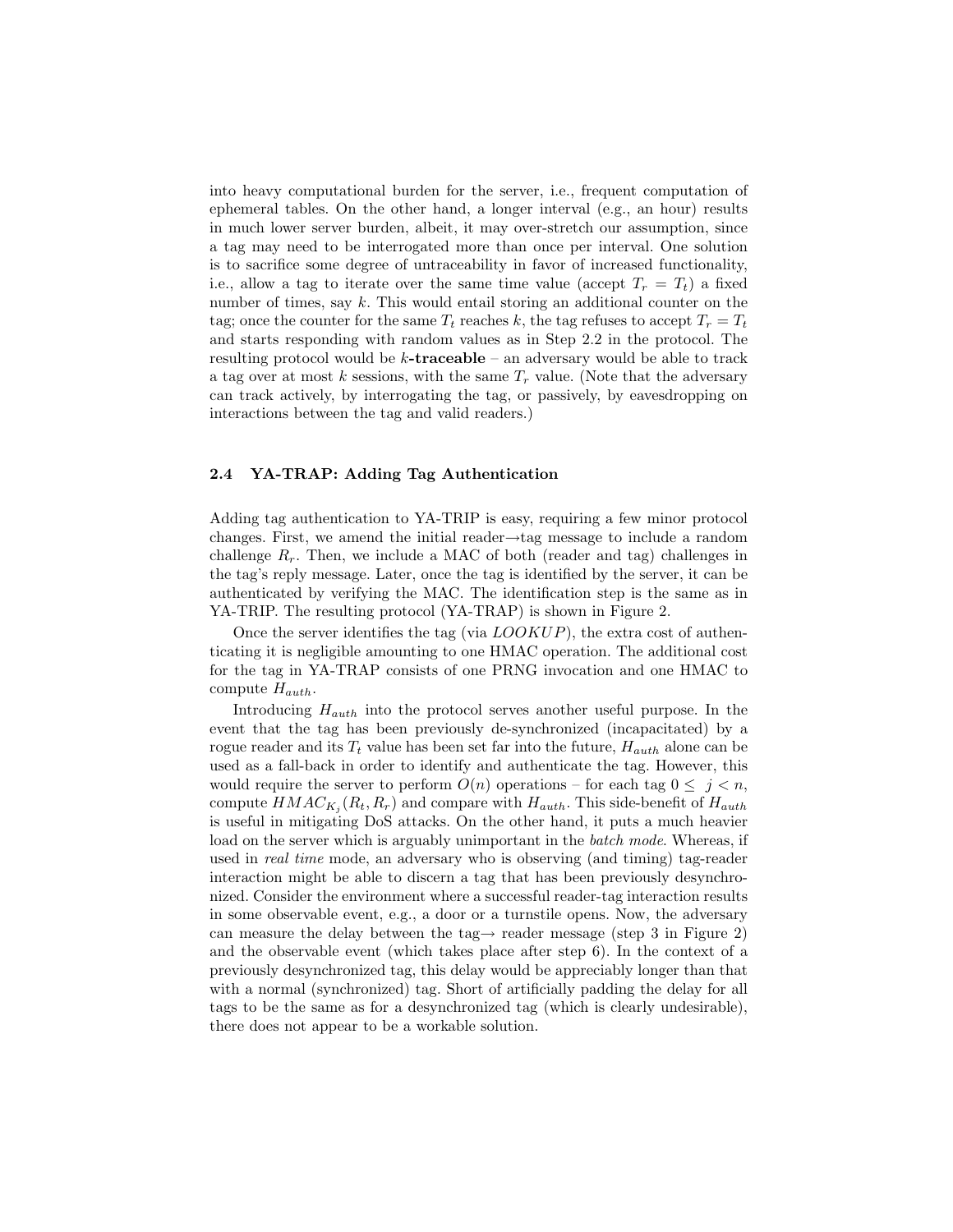into heavy computational burden for the server, i.e., frequent computation of ephemeral tables. On the other hand, a longer interval (e.g., an hour) results in much lower server burden, albeit, it may over-stretch our assumption, since a tag may need to be interrogated more than once per interval. One solution is to sacrifice some degree of untraceability in favor of increased functionality, i.e., allow a tag to iterate over the same time value (accept  $T_r = T_t$ ) a fixed number of times, say k. This would entail storing an additional counter on the tag; once the counter for the same  $T_t$  reaches k, the tag refuses to accept  $T_r = T_t$ and starts responding with random values as in Step 2.2 in the protocol. The resulting protocol would be  $k$ -traceable – an adversary would be able to track a tag over at most k sessions, with the same  $T_r$  value. (Note that the adversary can track actively, by interrogating the tag, or passively, by eavesdropping on interactions between the tag and valid readers.)

#### 2.4 YA-TRAP: Adding Tag Authentication

Adding tag authentication to YA-TRIP is easy, requiring a few minor protocol changes. First, we amend the initial reader→tag message to include a random challenge  $R_r$ . Then, we include a MAC of both (reader and tag) challenges in the tag's reply message. Later, once the tag is identified by the server, it can be authenticated by verifying the MAC. The identification step is the same as in YA-TRIP. The resulting protocol (YA-TRAP) is shown in Figure 2.

Once the server identifies the tag (via  $LOOKUP$ ), the extra cost of authenticating it is negligible amounting to one HMAC operation. The additional cost for the tag in YA-TRAP consists of one PRNG invocation and one HMAC to compute  $H_{auth}$ .

Introducing  $H_{auth}$  into the protocol serves another useful purpose. In the event that the tag has been previously de-synchronized (incapacitated) by a rogue reader and its  $T_t$  value has been set far into the future,  $H_{auth}$  alone can be used as a fall-back in order to identify and authenticate the tag. However, this would require the server to perform  $O(n)$  operations – for each tag  $0 \leq j \leq n$ , compute  $HMAC_{K_j}(R_t, R_r)$  and compare with  $H_{auth}$ . This side-benefit of  $H_{auth}$ is useful in mitigating DoS attacks. On the other hand, it puts a much heavier load on the server which is arguably unimportant in the *batch mode*. Whereas, if used in real time mode, an adversary who is observing (and timing) tag-reader interaction might be able to discern a tag that has been previously desynchronized. Consider the environment where a successful reader-tag interaction results in some observable event, e.g., a door or a turnstile opens. Now, the adversary can measure the delay between the tag $\rightarrow$  reader message (step 3 in Figure 2) and the observable event (which takes place after step 6). In the context of a previously desynchronized tag, this delay would be appreciably longer than that with a normal (synchronized) tag. Short of artificially padding the delay for all tags to be the same as for a desynchronized tag (which is clearly undesirable), there does not appear to be a workable solution.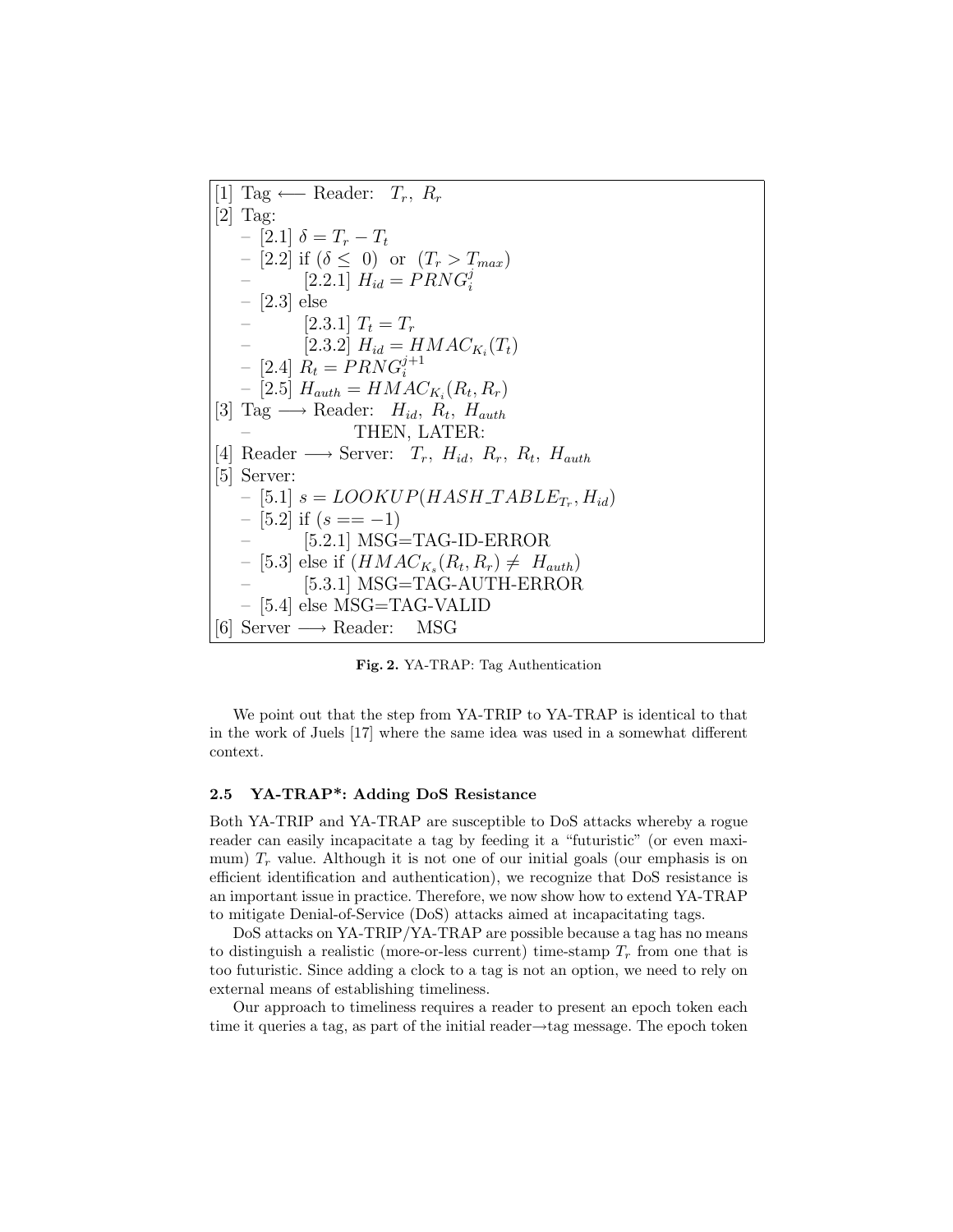[1] Tag ← Reader:  $T_r$ ,  $R_r$  $[2]$  Tag: – [2.1]  $\delta = T_r - T_t$  $-[2.2]$  if  $(\delta \leq 0)$  or  $(T_r > T_{max})$  $-$  [2.2.1]  $H_{id} = PRNG_i^j$ – [2.3] else  $-$  [2.3.1]  $T_t = T_r$  $-$  [2.3.2]  $H_{id} = HMAC_{K_i}(T_t)$  $-[2.4]$   $R_t = PRNG_i^{j+1}$  $-$  [2.5]  $H_{auth} = HMAC_{K_i}(R_t, R_r)$ [3] Tag  $\longrightarrow$  Reader:  $H_{id}$ ,  $R_t$ ,  $H_{auth}$ – THEN, LATER: [4] Reader  $\longrightarrow$  Server:  $T_r$ ,  $H_{id}$ ,  $R_r$ ,  $R_t$ ,  $H_{auth}$ [5] Server:  $-[5.1]$   $s = LOGKUP(HASH\_TABLE_{T_r}, H_{id})$ –  $\begin{bmatrix} 5.2 \end{bmatrix}$  if  $(s == -1)$  $[5.2.1]$  MSG=TAG-ID-ERROR - [5.3] else if  $(HMAC_{K_s}(R_t, R_r) \neq H_{auth})$ – [5.3.1] MSG=TAG-AUTH-ERROR – [5.4] else MSG=TAG-VALID  $[6]$  Server  $\longrightarrow$  Reader: MSG

Fig. 2. YA-TRAP: Tag Authentication

We point out that the step from YA-TRIP to YA-TRAP is identical to that in the work of Juels [17] where the same idea was used in a somewhat different context.

# 2.5 YA-TRAP\*: Adding DoS Resistance

Both YA-TRIP and YA-TRAP are susceptible to DoS attacks whereby a rogue reader can easily incapacitate a tag by feeding it a "futuristic" (or even maximum)  $T_r$  value. Although it is not one of our initial goals (our emphasis is on efficient identification and authentication), we recognize that DoS resistance is an important issue in practice. Therefore, we now show how to extend YA-TRAP to mitigate Denial-of-Service (DoS) attacks aimed at incapacitating tags.

DoS attacks on YA-TRIP/YA-TRAP are possible because a tag has no means to distinguish a realistic (more-or-less current) time-stamp  $T_r$  from one that is too futuristic. Since adding a clock to a tag is not an option, we need to rely on external means of establishing timeliness.

Our approach to timeliness requires a reader to present an epoch token each time it queries a tag, as part of the initial reader→tag message. The epoch token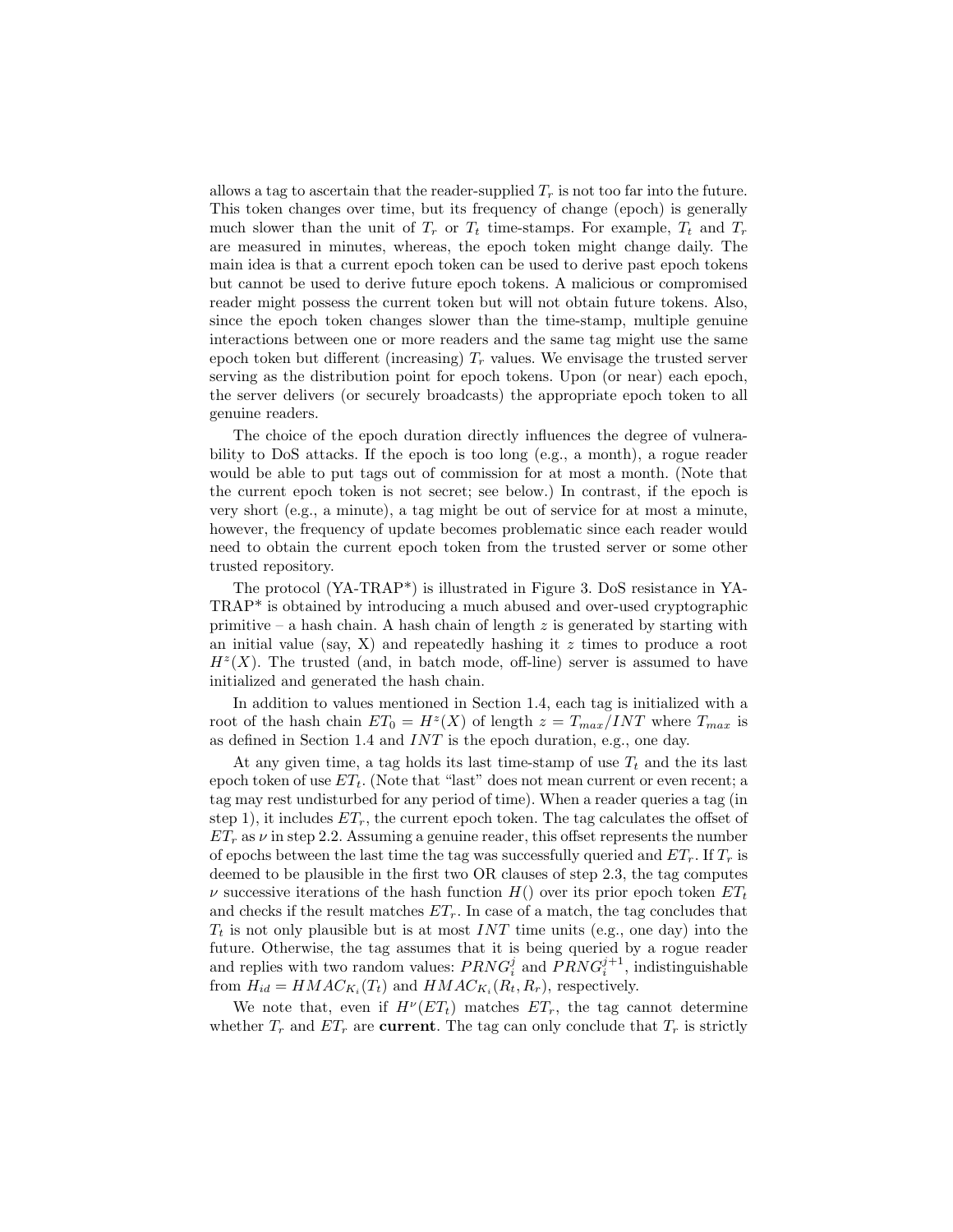allows a tag to ascertain that the reader-supplied  $T_r$  is not too far into the future. This token changes over time, but its frequency of change (epoch) is generally much slower than the unit of  $T_r$  or  $T_t$  time-stamps. For example,  $T_t$  and  $T_r$ are measured in minutes, whereas, the epoch token might change daily. The main idea is that a current epoch token can be used to derive past epoch tokens but cannot be used to derive future epoch tokens. A malicious or compromised reader might possess the current token but will not obtain future tokens. Also, since the epoch token changes slower than the time-stamp, multiple genuine interactions between one or more readers and the same tag might use the same epoch token but different (increasing)  $T_r$  values. We envisage the trusted server serving as the distribution point for epoch tokens. Upon (or near) each epoch, the server delivers (or securely broadcasts) the appropriate epoch token to all genuine readers.

The choice of the epoch duration directly influences the degree of vulnerability to DoS attacks. If the epoch is too long (e.g., a month), a rogue reader would be able to put tags out of commission for at most a month. (Note that the current epoch token is not secret; see below.) In contrast, if the epoch is very short (e.g., a minute), a tag might be out of service for at most a minute, however, the frequency of update becomes problematic since each reader would need to obtain the current epoch token from the trusted server or some other trusted repository.

The protocol (YA-TRAP\*) is illustrated in Figure 3. DoS resistance in YA-TRAP\* is obtained by introducing a much abused and over-used cryptographic primitive – a hash chain. A hash chain of length  $z$  is generated by starting with an initial value (say, X) and repeatedly hashing it  $z$  times to produce a root  $H^z(X)$ . The trusted (and, in batch mode, off-line) server is assumed to have initialized and generated the hash chain.

In addition to values mentioned in Section 1.4, each tag is initialized with a root of the hash chain  $ET_0 = H^z(X)$  of length  $z = T_{max}/INT$  where  $T_{max}$  is as defined in Section 1.4 and INT is the epoch duration, e.g., one day.

At any given time, a tag holds its last time-stamp of use  $T_t$  and the its last epoch token of use  $ET_t$ . (Note that "last" does not mean current or even recent; a tag may rest undisturbed for any period of time). When a reader queries a tag (in step 1), it includes  $ET_r$ , the current epoch token. The tag calculates the offset of  $ET_r$  as  $\nu$  in step 2.2. Assuming a genuine reader, this offset represents the number of epochs between the last time the tag was successfully queried and  $ET_r$ . If  $T_r$  is deemed to be plausible in the first two OR clauses of step 2.3, the tag computes  $\nu$  successive iterations of the hash function  $H()$  over its prior epoch token  $ET_t$ and checks if the result matches  $ET_r$ . In case of a match, the tag concludes that  $T_t$  is not only plausible but is at most INT time units (e.g., one day) into the future. Otherwise, the tag assumes that it is being queried by a rogue reader and replies with two random values:  $PRNG_i^j$  and  $PRNG_i^{j+1}$ , indistinguishable from  $H_{id} = HMAC_{K_i}(T_t)$  and  $HMAC_{K_i}(R_t, R_r)$ , respectively.

We note that, even if  $H^{\nu}(ET_t)$  matches  $ET_r$ , the tag cannot determine whether  $T_r$  and  $ET_r$  are **current**. The tag can only conclude that  $T_r$  is strictly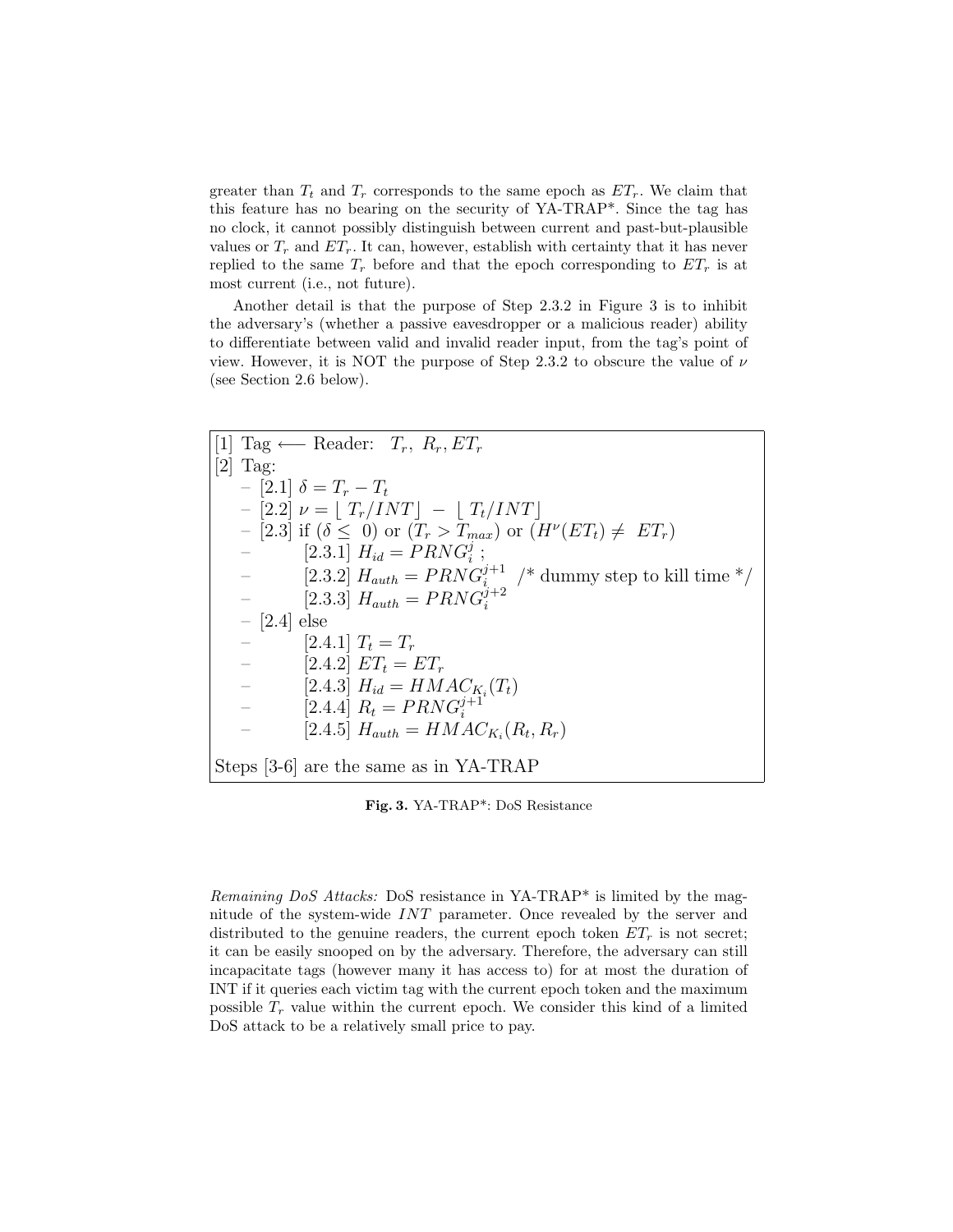greater than  $T_t$  and  $T_r$  corresponds to the same epoch as  $ET_r$ . We claim that this feature has no bearing on the security of YA-TRAP\*. Since the tag has no clock, it cannot possibly distinguish between current and past-but-plausible values or  $T_r$  and  $ET_r$ . It can, however, establish with certainty that it has never replied to the same  $T_r$  before and that the epoch corresponding to  $ET_r$  is at most current (i.e., not future).

Another detail is that the purpose of Step 2.3.2 in Figure 3 is to inhibit the adversary's (whether a passive eavesdropper or a malicious reader) ability to differentiate between valid and invalid reader input, from the tag's point of view. However, it is NOT the purpose of Step 2.3.2 to obscure the value of  $\nu$ (see Section 2.6 below).



Fig. 3. YA-TRAP\*: DoS Resistance

Remaining DoS Attacks: DoS resistance in YA-TRAP\* is limited by the magnitude of the system-wide INT parameter. Once revealed by the server and distributed to the genuine readers, the current epoch token  $ET_r$  is not secret; it can be easily snooped on by the adversary. Therefore, the adversary can still incapacitate tags (however many it has access to) for at most the duration of INT if it queries each victim tag with the current epoch token and the maximum possible  $T_r$  value within the current epoch. We consider this kind of a limited DoS attack to be a relatively small price to pay.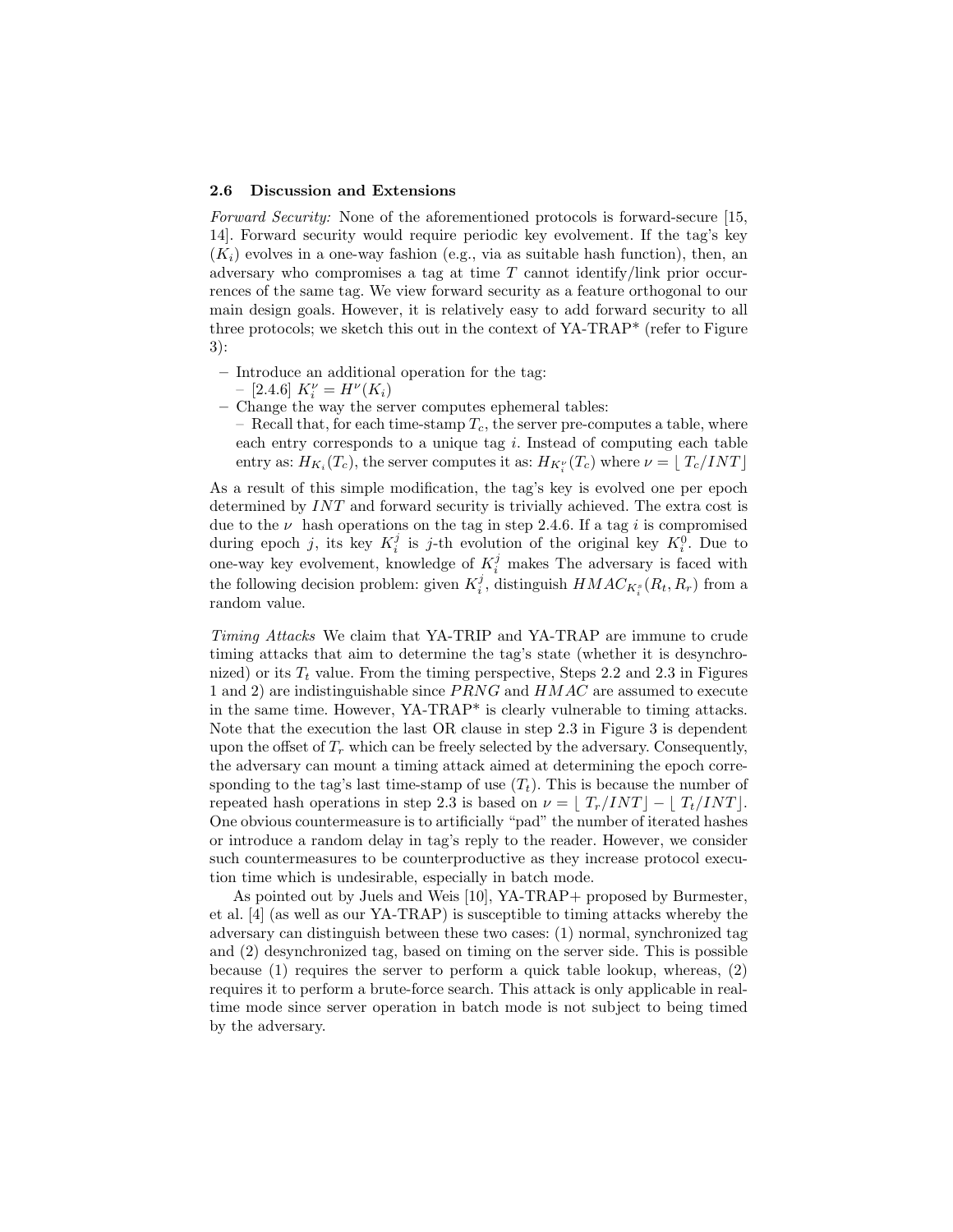#### 2.6 Discussion and Extensions

Forward Security: None of the aforementioned protocols is forward-secure [15, 14]. Forward security would require periodic key evolvement. If the tag's key  $(K_i)$  evolves in a one-way fashion (e.g., via as suitable hash function), then, an adversary who compromises a tag at time  $T$  cannot identify/link prior occurrences of the same tag. We view forward security as a feature orthogonal to our main design goals. However, it is relatively easy to add forward security to all three protocols; we sketch this out in the context of YA-TRAP\* (refer to Figure 3):

- Introduce an additional operation for the tag:
	- $-[2.4.6]$   $K_i^{\nu} = H^{\nu}(K_i)$
- Change the way the server computes ephemeral tables:

– Recall that, for each time-stamp  $T_c$ , the server pre-computes a table, where each entry corresponds to a unique tag  $i$ . Instead of computing each table entry as:  $H_{K_i}(T_c)$ , the server computes it as:  $H_{K_i^{\nu}}(T_c)$  where  $\nu = \lfloor T_c/INT \rfloor$ 

As a result of this simple modification, the tag's key is evolved one per epoch determined by INT and forward security is trivially achieved. The extra cost is due to the  $\nu$  hash operations on the tag in step 2.4.6. If a tag i is compromised during epoch j, its key  $K_i^j$  is j-th evolution of the original key  $K_i^0$ . Due to one-way key evolvement, knowledge of  $K_i^j$  makes The adversary is faced with the following decision problem: given  $K_i^j$ , distinguish  $HMAC_{K_i^s}(R_t, R_r)$  from a random value.

Timing Attacks We claim that YA-TRIP and YA-TRAP are immune to crude timing attacks that aim to determine the tag's state (whether it is desynchronized) or its  $T_t$  value. From the timing perspective, Steps 2.2 and 2.3 in Figures 1 and 2) are indistinguishable since  $PRNG$  and  $HMAC$  are assumed to execute in the same time. However, YA-TRAP\* is clearly vulnerable to timing attacks. Note that the execution the last OR clause in step 2.3 in Figure 3 is dependent upon the offset of  $T_r$  which can be freely selected by the adversary. Consequently, the adversary can mount a timing attack aimed at determining the epoch corresponding to the tag's last time-stamp of use  $(T_t)$ . This is because the number of repeated hash operations in step 2.3 is based on  $\nu = \int T_r/INT - \int T_t/INT$ . One obvious countermeasure is to artificially "pad" the number of iterated hashes or introduce a random delay in tag's reply to the reader. However, we consider such countermeasures to be counterproductive as they increase protocol execution time which is undesirable, especially in batch mode.

As pointed out by Juels and Weis [10], YA-TRAP+ proposed by Burmester, et al. [4] (as well as our YA-TRAP) is susceptible to timing attacks whereby the adversary can distinguish between these two cases: (1) normal, synchronized tag and (2) desynchronized tag, based on timing on the server side. This is possible because (1) requires the server to perform a quick table lookup, whereas, (2) requires it to perform a brute-force search. This attack is only applicable in realtime mode since server operation in batch mode is not subject to being timed by the adversary.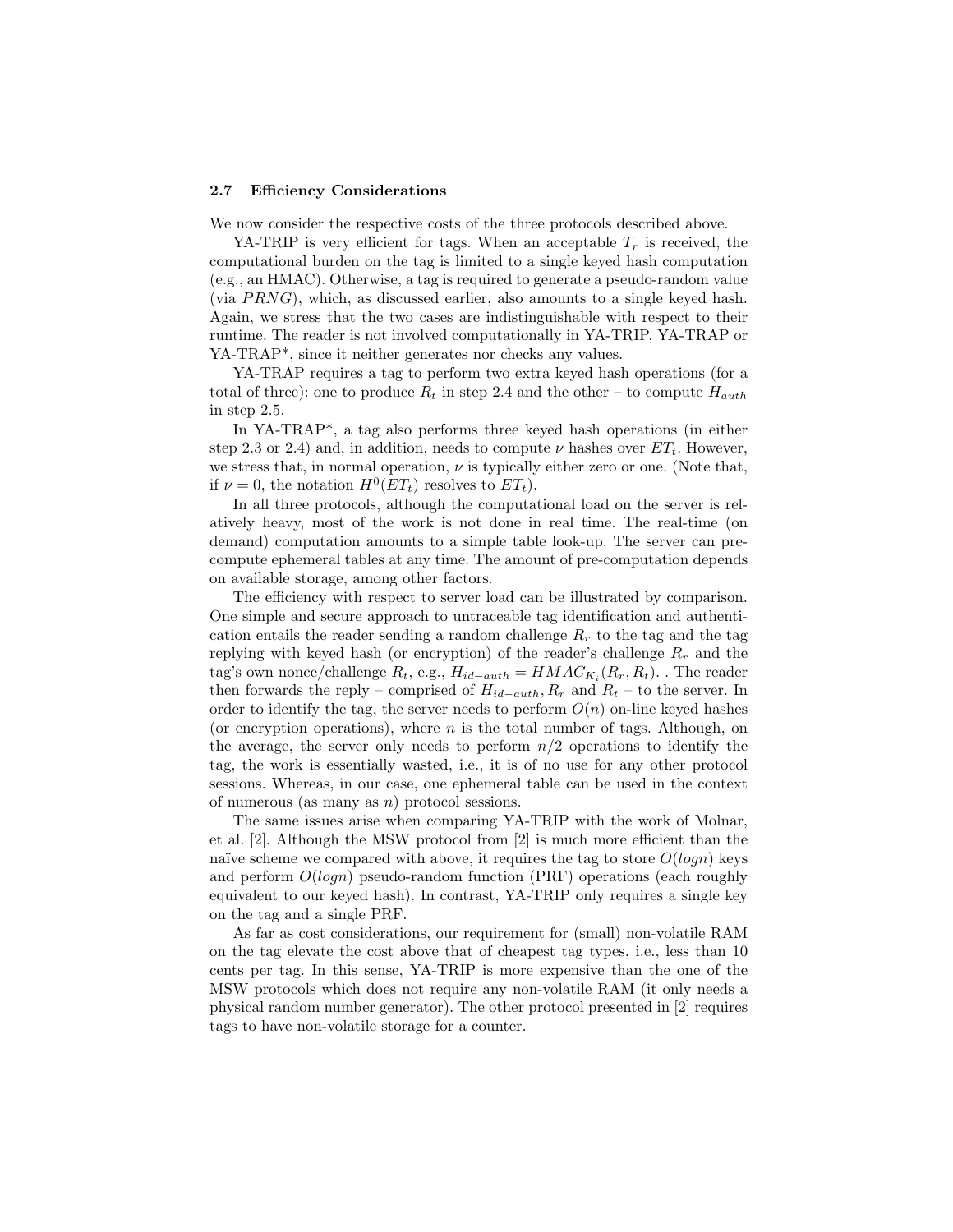#### 2.7 Efficiency Considerations

We now consider the respective costs of the three protocols described above.

YA-TRIP is very efficient for tags. When an acceptable  $T_r$  is received, the computational burden on the tag is limited to a single keyed hash computation (e.g., an HMAC). Otherwise, a tag is required to generate a pseudo-random value (via  $PRNG$ ), which, as discussed earlier, also amounts to a single keyed hash. Again, we stress that the two cases are indistinguishable with respect to their runtime. The reader is not involved computationally in YA-TRIP, YA-TRAP or YA-TRAP\*, since it neither generates nor checks any values.

YA-TRAP requires a tag to perform two extra keyed hash operations (for a total of three): one to produce  $R_t$  in step 2.4 and the other – to compute  $H_{auth}$ in step 2.5.

In YA-TRAP\*, a tag also performs three keyed hash operations (in either step 2.3 or 2.4) and, in addition, needs to compute  $\nu$  hashes over  $ET_t$ . However, we stress that, in normal operation,  $\nu$  is typically either zero or one. (Note that, if  $\nu = 0$ , the notation  $H^0(ET_t)$  resolves to  $ET_t$ ).

In all three protocols, although the computational load on the server is relatively heavy, most of the work is not done in real time. The real-time (on demand) computation amounts to a simple table look-up. The server can precompute ephemeral tables at any time. The amount of pre-computation depends on available storage, among other factors.

The efficiency with respect to server load can be illustrated by comparison. One simple and secure approach to untraceable tag identification and authentication entails the reader sending a random challenge  $R_r$  to the tag and the tag replying with keyed hash (or encryption) of the reader's challenge  $R_r$  and the tag's own nonce/challenge  $R_t$ , e.g.,  $H_{id-auth} = HMAC_{K_i}(R_r, R_t)$ . The reader then forwards the reply – comprised of  $H_{id-auth}$ ,  $R_r$  and  $R_t$  – to the server. In order to identify the tag, the server needs to perform  $O(n)$  on-line keyed hashes (or encryption operations), where  $n$  is the total number of tags. Although, on the average, the server only needs to perform  $n/2$  operations to identify the tag, the work is essentially wasted, i.e., it is of no use for any other protocol sessions. Whereas, in our case, one ephemeral table can be used in the context of numerous (as many as  $n$ ) protocol sessions.

The same issues arise when comparing YA-TRIP with the work of Molnar, et al. [2]. Although the MSW protocol from [2] is much more efficient than the naïve scheme we compared with above, it requires the tag to store  $O(log n)$  keys and perform  $O(logn)$  pseudo-random function (PRF) operations (each roughly equivalent to our keyed hash). In contrast, YA-TRIP only requires a single key on the tag and a single PRF.

As far as cost considerations, our requirement for (small) non-volatile RAM on the tag elevate the cost above that of cheapest tag types, i.e., less than 10 cents per tag. In this sense, YA-TRIP is more expensive than the one of the MSW protocols which does not require any non-volatile RAM (it only needs a physical random number generator). The other protocol presented in [2] requires tags to have non-volatile storage for a counter.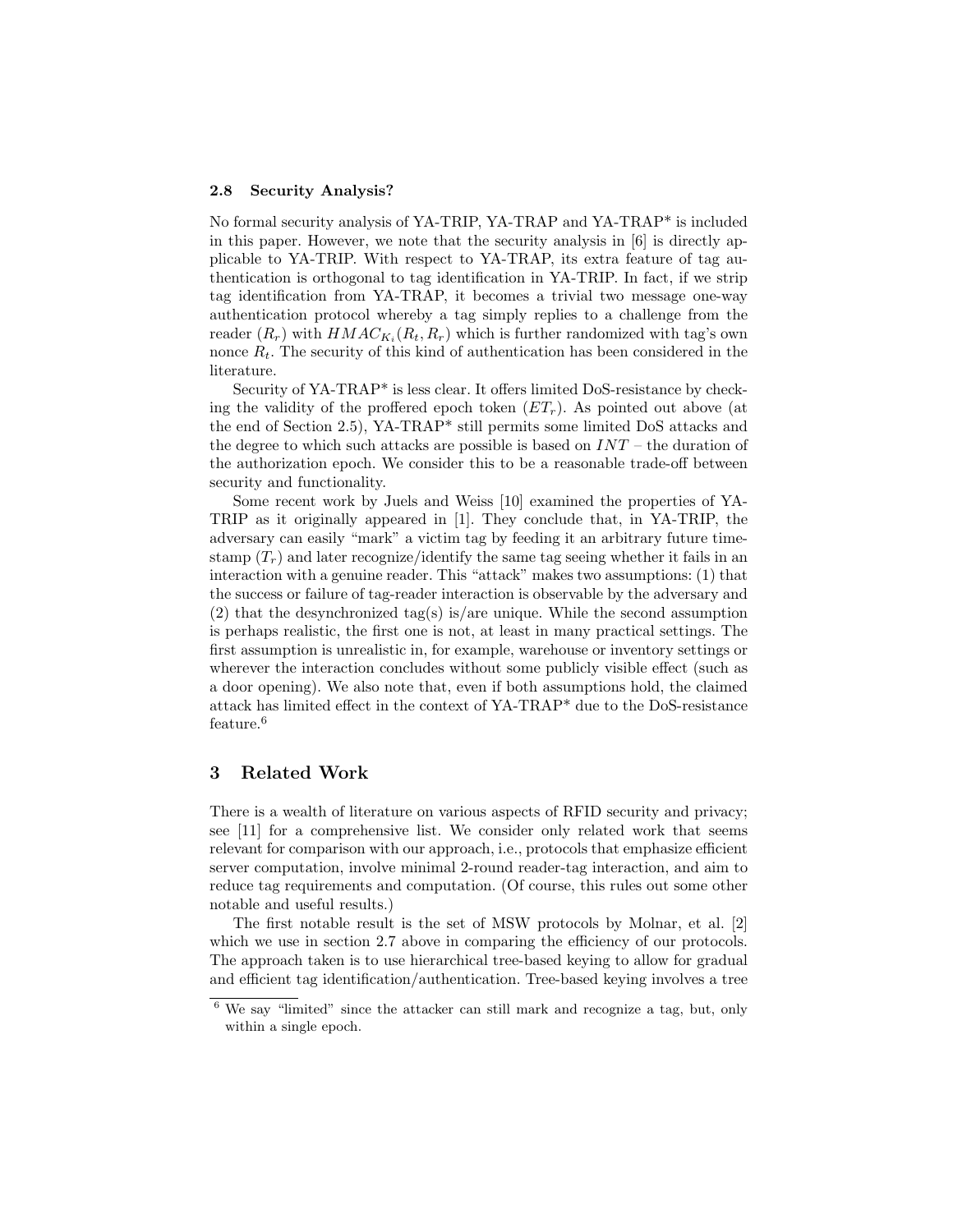#### 2.8 Security Analysis?

No formal security analysis of YA-TRIP, YA-TRAP and YA-TRAP\* is included in this paper. However, we note that the security analysis in [6] is directly applicable to YA-TRIP. With respect to YA-TRAP, its extra feature of tag authentication is orthogonal to tag identification in YA-TRIP. In fact, if we strip tag identification from YA-TRAP, it becomes a trivial two message one-way authentication protocol whereby a tag simply replies to a challenge from the reader  $(R_r)$  with  $HMAC_{K_i}(R_t, R_r)$  which is further randomized with tag's own nonce  $R_t$ . The security of this kind of authentication has been considered in the literature.

Security of YA-TRAP\* is less clear. It offers limited DoS-resistance by checking the validity of the proffered epoch token  $(ET_r)$ . As pointed out above (at the end of Section 2.5), YA-TRAP\* still permits some limited DoS attacks and the degree to which such attacks are possible is based on  $INT$  – the duration of the authorization epoch. We consider this to be a reasonable trade-off between security and functionality.

Some recent work by Juels and Weiss [10] examined the properties of YA-TRIP as it originally appeared in [1]. They conclude that, in YA-TRIP, the adversary can easily "mark" a victim tag by feeding it an arbitrary future timestamp  $(T_r)$  and later recognize/identify the same tag seeing whether it fails in an interaction with a genuine reader. This "attack" makes two assumptions: (1) that the success or failure of tag-reader interaction is observable by the adversary and  $(2)$  that the desynchronized tag(s) is/are unique. While the second assumption is perhaps realistic, the first one is not, at least in many practical settings. The first assumption is unrealistic in, for example, warehouse or inventory settings or wherever the interaction concludes without some publicly visible effect (such as a door opening). We also note that, even if both assumptions hold, the claimed attack has limited effect in the context of YA-TRAP\* due to the DoS-resistance feature.<sup>6</sup>

# 3 Related Work

There is a wealth of literature on various aspects of RFID security and privacy; see [11] for a comprehensive list. We consider only related work that seems relevant for comparison with our approach, i.e., protocols that emphasize efficient server computation, involve minimal 2-round reader-tag interaction, and aim to reduce tag requirements and computation. (Of course, this rules out some other notable and useful results.)

The first notable result is the set of MSW protocols by Molnar, et al. [2] which we use in section 2.7 above in comparing the efficiency of our protocols. The approach taken is to use hierarchical tree-based keying to allow for gradual and efficient tag identification/authentication. Tree-based keying involves a tree

<sup>6</sup> We say "limited" since the attacker can still mark and recognize a tag, but, only within a single epoch.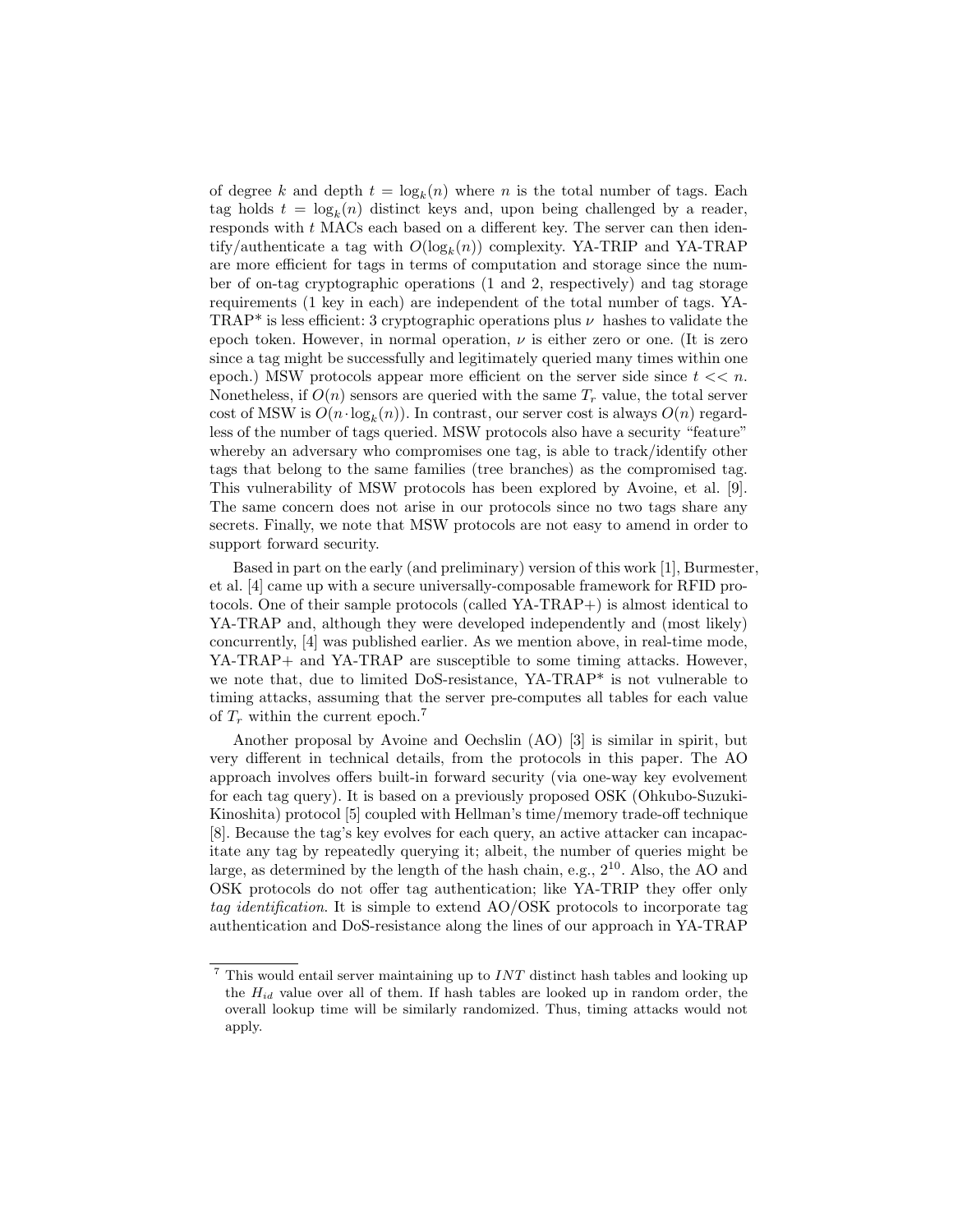of degree k and depth  $t = \log_k(n)$  where n is the total number of tags. Each tag holds  $t = \log_k(n)$  distinct keys and, upon being challenged by a reader, responds with t MACs each based on a different key. The server can then identify/authenticate a tag with  $O(\log_k(n))$  complexity. YA-TRIP and YA-TRAP are more efficient for tags in terms of computation and storage since the number of on-tag cryptographic operations (1 and 2, respectively) and tag storage requirements (1 key in each) are independent of the total number of tags. YA-TRAP<sup>\*</sup> is less efficient: 3 cryptographic operations plus  $\nu$  hashes to validate the epoch token. However, in normal operation,  $\nu$  is either zero or one. (It is zero since a tag might be successfully and legitimately queried many times within one epoch.) MSW protocols appear more efficient on the server side since  $t \ll n$ . Nonetheless, if  $O(n)$  sensors are queried with the same  $T_r$  value, the total server cost of MSW is  $O(n \cdot \log_k(n))$ . In contrast, our server cost is always  $O(n)$  regardless of the number of tags queried. MSW protocols also have a security "feature" whereby an adversary who compromises one tag, is able to track/identify other tags that belong to the same families (tree branches) as the compromised tag. This vulnerability of MSW protocols has been explored by Avoine, et al. [9]. The same concern does not arise in our protocols since no two tags share any secrets. Finally, we note that MSW protocols are not easy to amend in order to support forward security.

Based in part on the early (and preliminary) version of this work [1], Burmester, et al. [4] came up with a secure universally-composable framework for RFID protocols. One of their sample protocols (called YA-TRAP+) is almost identical to YA-TRAP and, although they were developed independently and (most likely) concurrently, [4] was published earlier. As we mention above, in real-time mode, YA-TRAP+ and YA-TRAP are susceptible to some timing attacks. However, we note that, due to limited DoS-resistance, YA-TRAP\* is not vulnerable to timing attacks, assuming that the server pre-computes all tables for each value of  $T_r$  within the current epoch.<sup>7</sup>

Another proposal by Avoine and Oechslin (AO) [3] is similar in spirit, but very different in technical details, from the protocols in this paper. The AO approach involves offers built-in forward security (via one-way key evolvement for each tag query). It is based on a previously proposed OSK (Ohkubo-Suzuki-Kinoshita) protocol [5] coupled with Hellman's time/memory trade-off technique [8]. Because the tag's key evolves for each query, an active attacker can incapacitate any tag by repeatedly querying it; albeit, the number of queries might be large, as determined by the length of the hash chain, e.g.,  $2^{10}$ . Also, the AO and OSK protocols do not offer tag authentication; like YA-TRIP they offer only tag identification. It is simple to extend AO/OSK protocols to incorporate tag authentication and DoS-resistance along the lines of our approach in YA-TRAP

 $7$  This would entail server maintaining up to  $INT$  distinct hash tables and looking up the  $H_{id}$  value over all of them. If hash tables are looked up in random order, the overall lookup time will be similarly randomized. Thus, timing attacks would not apply.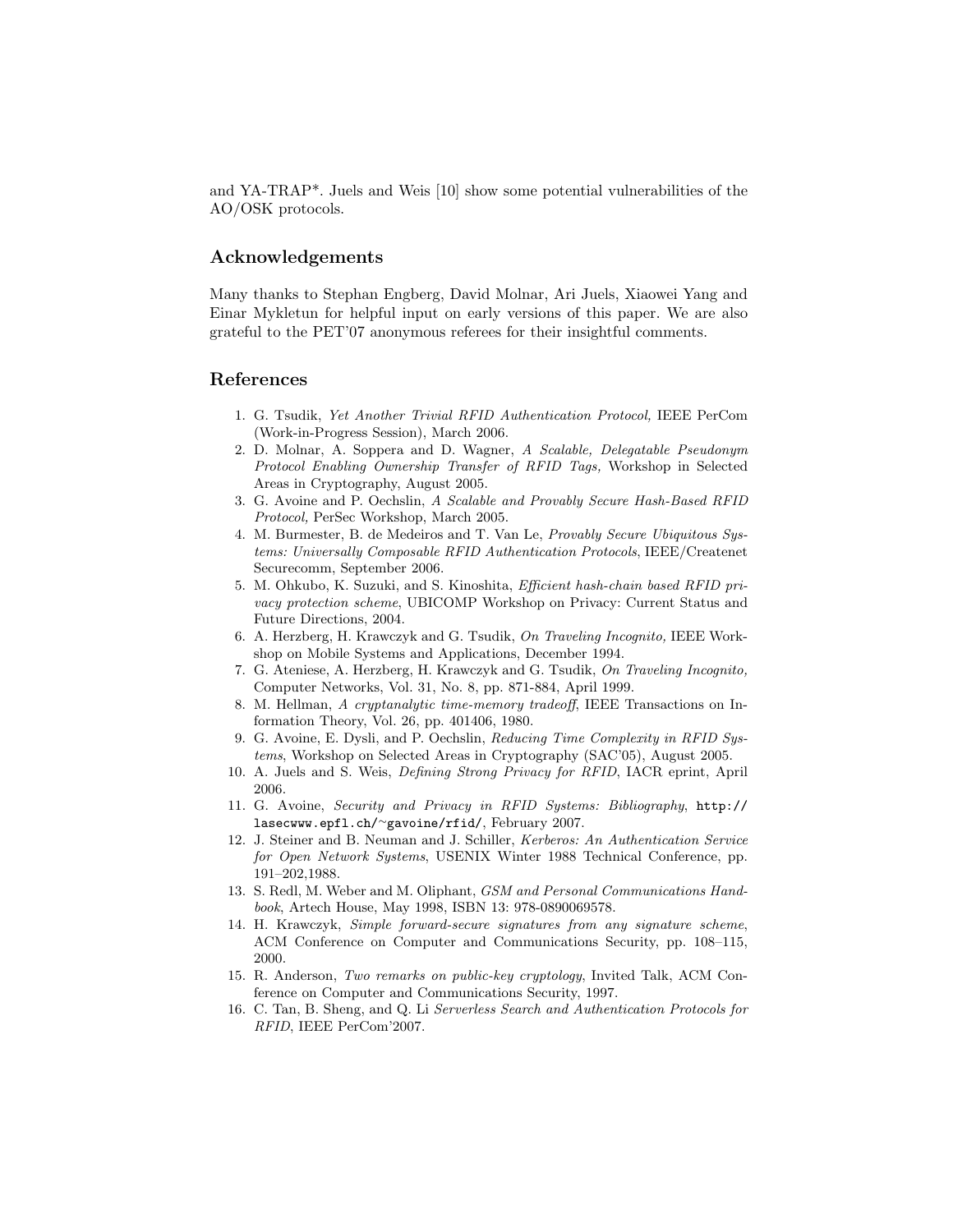and YA-TRAP\*. Juels and Weis [10] show some potential vulnerabilities of the AO/OSK protocols.

# Acknowledgements

Many thanks to Stephan Engberg, David Molnar, Ari Juels, Xiaowei Yang and Einar Mykletun for helpful input on early versions of this paper. We are also grateful to the PET'07 anonymous referees for their insightful comments.

# References

- 1. G. Tsudik, Yet Another Trivial RFID Authentication Protocol, IEEE PerCom (Work-in-Progress Session), March 2006.
- 2. D. Molnar, A. Soppera and D. Wagner, A Scalable, Delegatable Pseudonym Protocol Enabling Ownership Transfer of RFID Tags, Workshop in Selected Areas in Cryptography, August 2005.
- 3. G. Avoine and P. Oechslin, A Scalable and Provably Secure Hash-Based RFID Protocol, PerSec Workshop, March 2005.
- 4. M. Burmester, B. de Medeiros and T. Van Le, Provably Secure Ubiquitous Systems: Universally Composable RFID Authentication Protocols, IEEE/Createnet Securecomm, September 2006.
- 5. M. Ohkubo, K. Suzuki, and S. Kinoshita, Efficient hash-chain based RFID privacy protection scheme, UBICOMP Workshop on Privacy: Current Status and Future Directions, 2004.
- 6. A. Herzberg, H. Krawczyk and G. Tsudik, On Traveling Incognito, IEEE Workshop on Mobile Systems and Applications, December 1994.
- 7. G. Ateniese, A. Herzberg, H. Krawczyk and G. Tsudik, On Traveling Incognito, Computer Networks, Vol. 31, No. 8, pp. 871-884, April 1999.
- 8. M. Hellman, A cryptanalytic time-memory tradeoff, IEEE Transactions on Information Theory, Vol. 26, pp. 401406, 1980.
- 9. G. Avoine, E. Dysli, and P. Oechslin, Reducing Time Complexity in RFID Systems, Workshop on Selected Areas in Cryptography (SAC'05), August 2005.
- 10. A. Juels and S. Weis, Defining Strong Privacy for RFID, IACR eprint, April 2006.
- 11. G. Avoine, Security and Privacy in RFID Systems: Bibliography, http:// lasecwww.epfl.ch/<sup>∼</sup>gavoine/rfid/, February 2007.
- 12. J. Steiner and B. Neuman and J. Schiller, Kerberos: An Authentication Service for Open Network Systems, USENIX Winter 1988 Technical Conference, pp. 191–202,1988.
- 13. S. Redl, M. Weber and M. Oliphant, GSM and Personal Communications Handbook, Artech House, May 1998, ISBN 13: 978-0890069578.
- 14. H. Krawczyk, Simple forward-secure signatures from any signature scheme, ACM Conference on Computer and Communications Security, pp. 108–115, 2000.
- 15. R. Anderson, Two remarks on public-key cryptology, Invited Talk, ACM Conference on Computer and Communications Security, 1997.
- 16. C. Tan, B. Sheng, and Q. Li Serverless Search and Authentication Protocols for RFID, IEEE PerCom'2007.